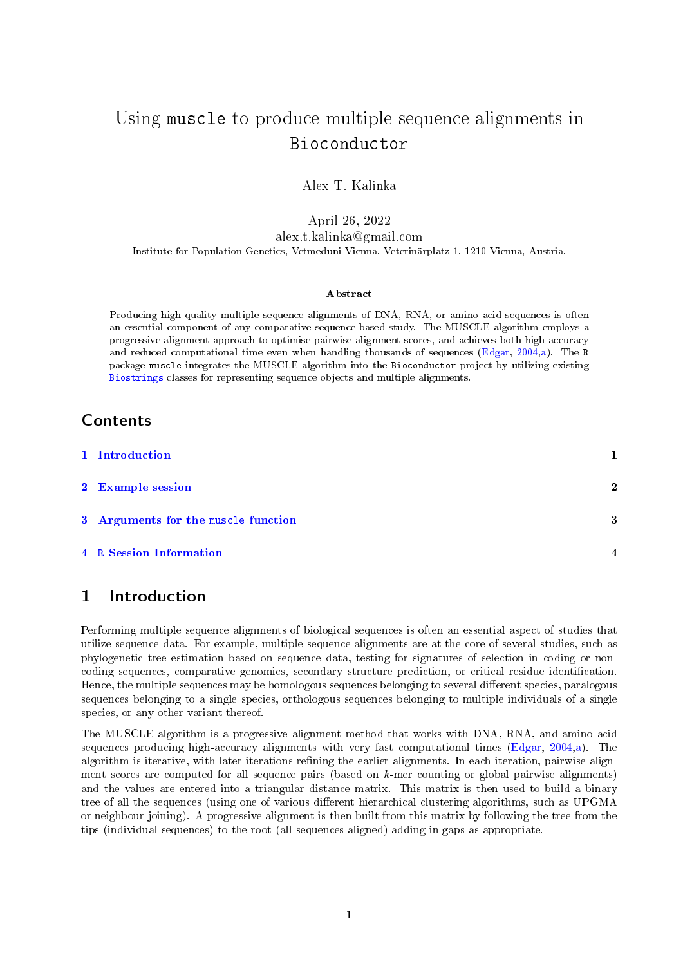# Using muscle to produce multiple sequence alignments in Bioconductor

Alex T. Kalinka

April 26, 2022 alex.t.kalinka@gmail.com Institute for Population Genetics, Vetmeduni Vienna, Veterinärplatz 1, 1210 Vienna, Austria.

#### Abstract

Producing high-quality multiple sequence alignments of DNA, RNA, or amino acid sequences is often an essential component of any comparative sequence-based study. The MUSCLE algorithm employs a progressive alignment approach to optimise pairwise alignment scores, and achieves both high accuracy and reduced computational time even when handling thousands of sequences [\(Edgar,](#page-3-0) [2004](#page-3-0)[,a\)](#page-3-1). The R package muscle integrates the MUSCLE algorithm into the Bioconductor project by utilizing existing [Biostrings](http://www.bioconductor.org/packages/release/bioc/html/Biostrings.html) classes for representing sequence objects and multiple alignments.

### Contents

| 1 Introduction                      |                     |
|-------------------------------------|---------------------|
| 2 Example session                   | $\mathbf{2}$        |
| 3 Arguments for the muscle function | 3                   |
| <b>4</b> R Session Information      | $\overline{\bf{4}}$ |

# <span id="page-0-0"></span>1 Introduction

Performing multiple sequence alignments of biological sequences is often an essential aspect of studies that utilize sequence data. For example, multiple sequence alignments are at the core of several studies, such as phylogenetic tree estimation based on sequence data, testing for signatures of selection in coding or noncoding sequences, comparative genomics, secondary structure prediction, or critical residue identification. Hence, the multiple sequences may be homologous sequences belonging to several different species, paralogous sequences belonging to a single species, orthologous sequences belonging to multiple individuals of a single species, or any other variant thereof.

The MUSCLE algorithm is a progressive alignment method that works with DNA, RNA, and amino acid sequences producing high-accuracy alignments with very fast computational times [\(Edgar,](#page-3-0) [2004](#page-3-0)[,a\)](#page-3-1). The algorithm is iterative, with later iterations refining the earlier alignments. In each iteration, pairwise alignment scores are computed for all sequence pairs (based on  $k$ -mer counting or global pairwise alignments) and the values are entered into a triangular distance matrix. This matrix is then used to build a binary tree of all the sequences (using one of various different hierarchical clustering algorithms, such as UPGMA or neighbour-joining). A progressive alignment is then built from this matrix by following the tree from the tips (individual sequences) to the root (all sequences aligned) adding in gaps as appropriate.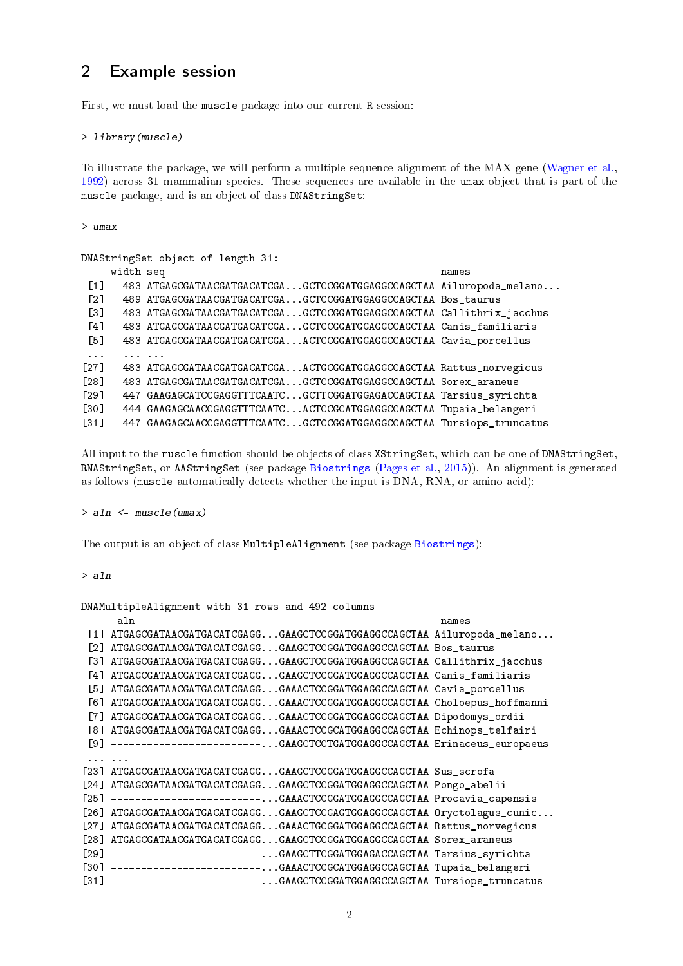# <span id="page-1-0"></span>2 Example session

First, we must load the muscle package into our current R session:

> library(muscle)

To illustrate the package, we will perform a multiple sequence alignment of the MAX gene [\(Wagner et al.,](#page-3-3) [1992\)](#page-3-3) across 31 mammalian species. These sequences are available in the umax object that is part of the muscle package, and is an object of class DNAStringSet:

> umax

| DNAStringSet object of length 31: |           |                                                                      |       |  |  |  |
|-----------------------------------|-----------|----------------------------------------------------------------------|-------|--|--|--|
|                                   | width seq |                                                                      | names |  |  |  |
| $\lceil 1 \rceil$                 |           | 483 ATGAGCGATAACGATGACATCGAGCTCCGGATGGAGGCCAGCTAA Ailuropoda_melano  |       |  |  |  |
| $\lceil 2 \rceil$                 |           | 489 ATGAGCGATAACGATGACATCGAGCTCCGGATGGAGGCCAGCTAA Bos_taurus         |       |  |  |  |
| $\left[3\right]$                  |           | 483 ATGAGCGATAACGATGACATCGAGCTCCGGATGGAGGCCAGCTAA Callithrix_jacchus |       |  |  |  |
| [4]                               |           | 483 ATGAGCGATAACGATGACATCGAGCTCCGGATGGAGGCCAGCTAA Canis_familiaris   |       |  |  |  |
| [5]                               |           | 483 ATGAGCGATAACGATGACATCGAACTCCGGATGGAGGCCAGCTAA Cavia_porcellus    |       |  |  |  |
| $\sim$ $\sim$ $\sim$              |           |                                                                      |       |  |  |  |
| $\lceil 27 \rceil$                |           | 483 ATGAGCGATAACGATGACATCGAACTGCGGATGGAGGCCAGCTAA Rattus_norvegicus  |       |  |  |  |
| [28]                              |           | 483 ATGAGCGATAACGATGACATCGAGCTCCGGATGGAGGCCAGCTAA Sorex_araneus      |       |  |  |  |
| [29]                              |           | 447 GAAGAGCATCCGAGGTTTCAATCGCTTCGGATGGAGACCAGCTAA Tarsius_syrichta   |       |  |  |  |
| <b>1301</b>                       |           | 444 GAAGAGCAACCGAGGTTTCAATCACTCCGCATGGAGGCCAGCTAA Tupaia_belangeri   |       |  |  |  |
| $\sqrt{31}$                       |           | 447 GAAGAGCAACCGAGGTTTCAATCGCTCCGGATGGAGGCCAGCTAA Tursiops_truncatus |       |  |  |  |

All input to the muscle function should be objects of class XStringSet, which can be one of DNAStringSet, RNAStringSet, or AAStringSet (see package [Biostrings](http://www.bioconductor.org/packages/release/bioc/html/Biostrings.html) [\(Pages et al.,](#page-3-4) [2015\)](#page-3-4)). An alignment is generated as follows (muscle automatically detects whether the input is DNA, RNA, or amino acid):

### > aln <- muscle(umax)

The output is an object of class MultipleAlignment (see package [Biostrings\)](http://www.bioconductor.org/packages/release/bioc/html/Biostrings.html):

> aln

DNAMultipleAlignment with 31 rows and 492 columns

|             | aln                                                                        | names |
|-------------|----------------------------------------------------------------------------|-------|
|             | [1] ATGAGCGATAACGATGACATCGAGGGAAGCTCCGGATGGAGGCCAGCTAA Ailuropoda_melano   |       |
| T21         | ATGAGCGATAACGATGACATCGAGGGAAGCTCCGGATGGAGGCCAGCTAA Bos_taurus              |       |
| T31         | ATGAGCGATAACGATGACATCGAGGGAAGCTCCGGATGGAGGCCAGCTAA Callithrix_jacchus      |       |
| T41         | ATGAGCGATAACGATGACATCGAGGGAAGCTCCGGATGGAGGCCAGCTAA Canis_familiaris        |       |
| T51         | ATGAGCGATAACGATGACATCGAGGGAAACTCCGGATGGAGGCCAGCTAA Cavia_porcellus         |       |
|             | [6] ATGAGCGATAACGATGACATCGAGGGAAACTCCGGATGGAGGCCAGCTAA Choloepus_hoffmanni |       |
| [7]         | ATGAGCGATAACGATGACATCGAGGGAAACTCCGGATGGAGGCCAGCTAA Dipodomys_ordii         |       |
|             | [8] ATGAGCGATAACGATGACATCGAGGGAAACTCCGCATGGAGGCCAGCTAA Echinops_telfairi   |       |
|             | [9] ------------------------GAAGCTCCTGATGGAGGCCAGCTAA Erinaceus_europaeus  |       |
| $\cdots$    |                                                                            |       |
|             | [23] ATGAGCGATAACGATGACATCGAGGGAAGCTCCGGATGGAGGCCAGCTAA Sus_scrofa         |       |
| [24]        | ATGAGCGATAACGATGACATCGAGGGAAGCTCCGGATGGAGGCCAGCTAA Pongo_abelii            |       |
| F251        | ------------------------GAAACTCCGGATGGAGGCCAGCTAA Procavia_capensis        |       |
| F261.       | ATGAGCGATAACGATGACATCGAGGGAAGCTCCGAGTGGAGGCCAGCTAA Oryctolagus_cunic       |       |
| [27]        | ATGAGCGATAACGATGACATCGAGGGAAACTGCGGATGGAGGCCAGCTAA Rattus_norvegicus       |       |
| [28]        | ATGAGCGATAACGATGACATCGAGGGAAGCTCCGGATGGAGGCCAGCTAA Sorex_araneus           |       |
| <b>1291</b> | ------------------------GAAGCTTCGGATGGAGACCAGCTAA Tarsius_syrichta         |       |
|             | [30] ------------------------GAAACTCCGCATGGAGGCCAGCTAA Tupaia_belangeri    |       |
|             | [31] ------------------------GAAGCTCCGGATGGAGGCCAGCTAA Tursiops_truncatus  |       |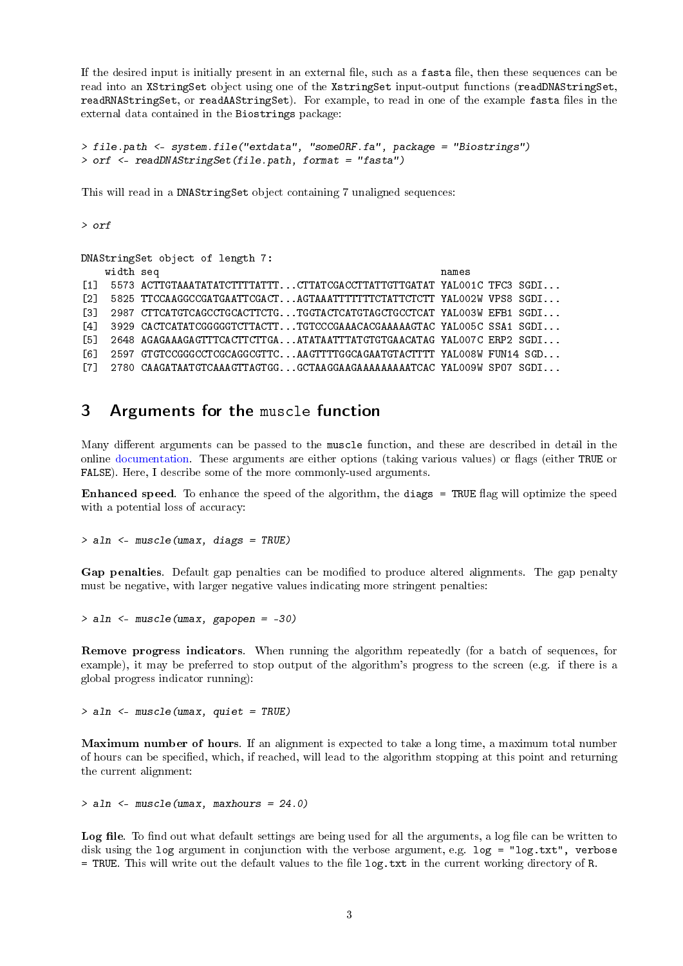If the desired input is initially present in an external file, such as a fasta file, then these sequences can be read into an XStringSet object using one of the XstringSet input-output functions (readDNAStringSet, readRNAStringSet, or readAAStringSet). For example, to read in one of the example fasta files in the external data contained in the Biostrings package:

```
> file.path <- system.file("extdata", "someORF.fa", package = "Biostrings")
> orf <- readDNAStringSet(file.path, format = "fasta")
```
This will read in a DNAStringSet object containing 7 unaligned sequences:

> orf

```
DNAStringSet object of length 7:
   width seq names
[1] 5573 ACTTGTAAATATATCTTTTATTT...CTTATCGACCTTATTGTTGATAT YALOO1C TFC3 SGDI...
[2] 5825 TTCCAAGGCCGATGAATTCGACT...AGTAAATTTTTTTCTATTCTCTT YAL002W VPS8 SGDI...
[3] 2987 CTTCATGTCAGCCTGCACTTCTG...TGGTACTCATGTAGCTGCCTCAT YAL003W EFB1 SGDI...
[4] 3929 CACTCATATCGGGGGTCTTACTT...TGTCCCGAAACACGAAAAAGTAC YAL005C SSA1 SGDI...
[5] 2648 AGAGAAAGAGTTTCACTTCTTGA...ATATAATTTATGTGTGAACATAG YAL007C ERP2 SGDI...
[6] 2597 GTGTCCGGGCCTCGCAGGCGTTC...AAGTTTTGGCAGAATGTACTTTT YAL008W FUN14 SGD...
[7] 2780 CAAGATAATGTCAAAGTTAGTGG...GCTAAGGAAGAAAAAAAAATCAC YAL009W SPO7 SGDI...
```
## <span id="page-2-0"></span>3 Arguments for the muscle function

Many different arguments can be passed to the muscle function, and these are described in detail in the online [documentation.](http://www.drive5.com/muscle/muscle_userguide3.8.html) These arguments are either options (taking various values) or flags (either TRUE or FALSE). Here, I describe some of the more commonly-used arguments.

Enhanced speed. To enhance the speed of the algorithm, the diags = TRUE flag will optimize the speed with a potential loss of accuracy:

> aln <- muscle(umax, diags = TRUE)

Gap penalties. Default gap penalties can be modified to produce altered alignments. The gap penalty must be negative, with larger negative values indicating more stringent penalties:

> aln <- muscle(umax, gapopen = -30)

Remove progress indicators. When running the algorithm repeatedly (for a batch of sequences, for example), it may be preferred to stop output of the algorithm's progress to the screen (e.g. if there is a global progress indicator running):

 $>$  aln  $\leq$  muscle(umax, quiet = TRUE)

Maximum number of hours. If an alignment is expected to take a long time, a maximum total number of hours can be specified, which, if reached, will lead to the algorithm stopping at this point and returning the current alignment:

> aln <- muscle(umax, maxhours = 24.0)

Log file. To find out what default settings are being used for all the arguments, a log file can be written to disk using the log argument in conjunction with the verbose argument, e.g. log = "log.txt", verbose  $=$  TRUE. This will write out the default values to the file  $\log$ , txt in the current working directory of R.